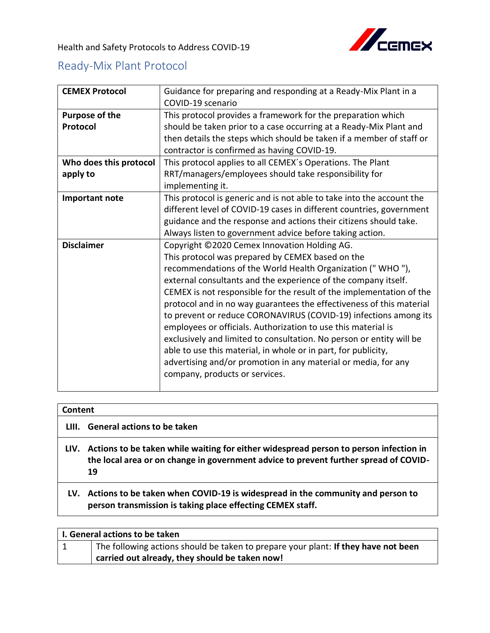## Ready-Mix Plant Protocol

| <b>CEMEX Protocol</b>              | Guidance for preparing and responding at a Ready-Mix Plant in a<br>COVID-19 scenario                                                                                                                                                                                                                                                                                                                                                                                                                                                                                                                                                                                                                                                                               |
|------------------------------------|--------------------------------------------------------------------------------------------------------------------------------------------------------------------------------------------------------------------------------------------------------------------------------------------------------------------------------------------------------------------------------------------------------------------------------------------------------------------------------------------------------------------------------------------------------------------------------------------------------------------------------------------------------------------------------------------------------------------------------------------------------------------|
| <b>Purpose of the</b><br>Protocol  | This protocol provides a framework for the preparation which<br>should be taken prior to a case occurring at a Ready-Mix Plant and<br>then details the steps which should be taken if a member of staff or<br>contractor is confirmed as having COVID-19.                                                                                                                                                                                                                                                                                                                                                                                                                                                                                                          |
| Who does this protocol<br>apply to | This protocol applies to all CEMEX's Operations. The Plant<br>RRT/managers/employees should take responsibility for<br>implementing it.                                                                                                                                                                                                                                                                                                                                                                                                                                                                                                                                                                                                                            |
| Important note                     | This protocol is generic and is not able to take into the account the<br>different level of COVID-19 cases in different countries, government<br>guidance and the response and actions their citizens should take.<br>Always listen to government advice before taking action.                                                                                                                                                                                                                                                                                                                                                                                                                                                                                     |
| <b>Disclaimer</b>                  | Copyright ©2020 Cemex Innovation Holding AG.<br>This protocol was prepared by CEMEX based on the<br>recommendations of the World Health Organization ("WHO"),<br>external consultants and the experience of the company itself.<br>CEMEX is not responsible for the result of the implementation of the<br>protocol and in no way guarantees the effectiveness of this material<br>to prevent or reduce CORONAVIRUS (COVID-19) infections among its<br>employees or officials. Authorization to use this material is<br>exclusively and limited to consultation. No person or entity will be<br>able to use this material, in whole or in part, for publicity,<br>advertising and/or promotion in any material or media, for any<br>company, products or services. |

| <b>Content</b> |                                                                                                                                                                               |
|----------------|-------------------------------------------------------------------------------------------------------------------------------------------------------------------------------|
| LIII.          | <b>General actions to be taken</b>                                                                                                                                            |
| LIV.           | Actions to be taken while waiting for either widespread person to person infection in<br>the local area or on change in government advice to prevent further spread of COVID- |

**19 LV. Actions to be taken when COVID-19 is widespread in the community and person to** 

| <b>EXIT CONDITIONS TO ACTIVITION WILCOX ID TO MINCOPICUM IN THE COMMITTER MIN POLOG</b> |  |
|-----------------------------------------------------------------------------------------|--|
| person transmission is taking place effecting CEMEX staff.                              |  |

| I. General actions to be taken |                                                                                    |
|--------------------------------|------------------------------------------------------------------------------------|
| 1                              | The following actions should be taken to prepare your plant: If they have not been |
|                                | carried out already, they should be taken now!                                     |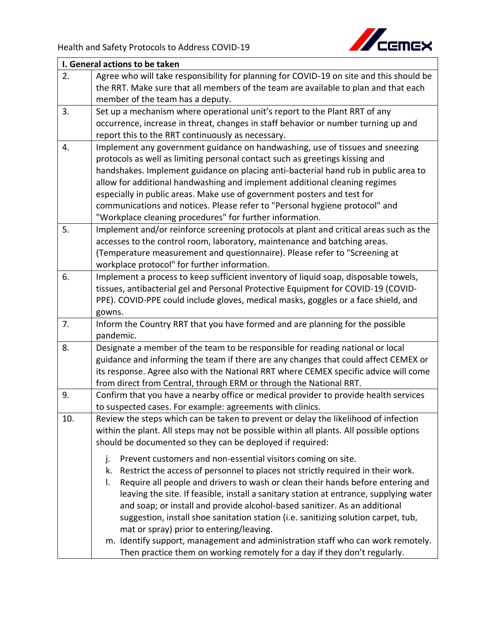

| I. General actions to be taken |                                                                                         |
|--------------------------------|-----------------------------------------------------------------------------------------|
| 2.                             | Agree who will take responsibility for planning for COVID-19 on site and this should be |
|                                | the RRT. Make sure that all members of the team are available to plan and that each     |
|                                | member of the team has a deputy.                                                        |
| 3.                             | Set up a mechanism where operational unit's report to the Plant RRT of any              |
|                                | occurrence, increase in threat, changes in staff behavior or number turning up and      |
|                                | report this to the RRT continuously as necessary.                                       |
| 4.                             | Implement any government guidance on handwashing, use of tissues and sneezing           |
|                                | protocols as well as limiting personal contact such as greetings kissing and            |
|                                | handshakes. Implement guidance on placing anti-bacterial hand rub in public area to     |
|                                | allow for additional handwashing and implement additional cleaning regimes              |
|                                | especially in public areas. Make use of government posters and test for                 |
|                                | communications and notices. Please refer to "Personal hygiene protocol" and             |
|                                | "Workplace cleaning procedures" for further information.                                |
| 5.                             | Implement and/or reinforce screening protocols at plant and critical areas such as the  |
|                                | accesses to the control room, laboratory, maintenance and batching areas.               |
|                                | (Temperature measurement and questionnaire). Please refer to "Screening at              |
|                                | workplace protocol" for further information.                                            |
| 6.                             | Implement a process to keep sufficient inventory of liquid soap, disposable towels,     |
|                                | tissues, antibacterial gel and Personal Protective Equipment for COVID-19 (COVID-       |
|                                | PPE). COVID-PPE could include gloves, medical masks, goggles or a face shield, and      |
|                                | gowns.                                                                                  |
| 7.                             | Inform the Country RRT that you have formed and are planning for the possible           |
|                                | pandemic.                                                                               |
| 8.                             | Designate a member of the team to be responsible for reading national or local          |
|                                | guidance and informing the team if there are any changes that could affect CEMEX or     |
|                                | its response. Agree also with the National RRT where CEMEX specific advice will come    |
|                                | from direct from Central, through ERM or through the National RRT.                      |
| 9.                             | Confirm that you have a nearby office or medical provider to provide health services    |
|                                | to suspected cases. For example: agreements with clinics.                               |
| 10.                            | Review the steps which can be taken to prevent or delay the likelihood of infection     |
|                                | within the plant. All steps may not be possible within all plants. All possible options |
|                                | should be documented so they can be deployed if required:                               |
|                                | Prevent customers and non-essential visitors coming on site.<br>j.                      |
|                                | Restrict the access of personnel to places not strictly required in their work.<br>k.   |
|                                | Require all people and drivers to wash or clean their hands before entering and<br>I.   |
|                                | leaving the site. If feasible, install a sanitary station at entrance, supplying water  |
|                                | and soap; or install and provide alcohol-based sanitizer. As an additional              |
|                                | suggestion, install shoe sanitation station (i.e. sanitizing solution carpet, tub,      |
|                                | mat or spray) prior to entering/leaving.                                                |
|                                | m. Identify support, management and administration staff who can work remotely.         |
|                                | Then practice them on working remotely for a day if they don't regularly.               |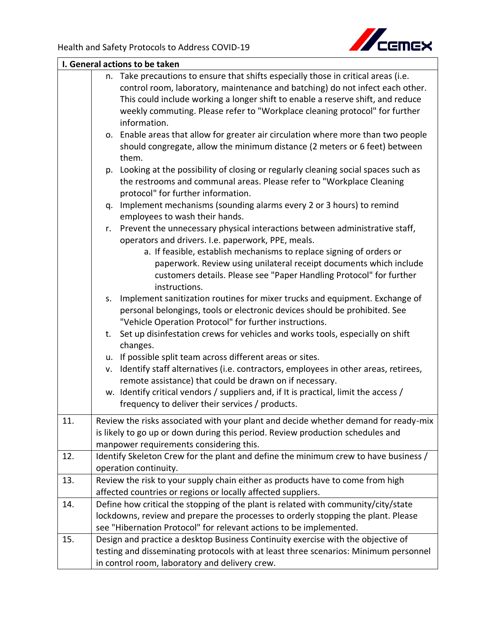

| I. General actions to be taken |                                                                                                                                                     |
|--------------------------------|-----------------------------------------------------------------------------------------------------------------------------------------------------|
|                                | n. Take precautions to ensure that shifts especially those in critical areas (i.e.                                                                  |
|                                | control room, laboratory, maintenance and batching) do not infect each other.                                                                       |
|                                | This could include working a longer shift to enable a reserve shift, and reduce                                                                     |
|                                | weekly commuting. Please refer to "Workplace cleaning protocol" for further                                                                         |
|                                | information.                                                                                                                                        |
|                                | o. Enable areas that allow for greater air circulation where more than two people                                                                   |
|                                | should congregate, allow the minimum distance (2 meters or 6 feet) between<br>them.                                                                 |
|                                | Looking at the possibility of closing or regularly cleaning social spaces such as<br>p.                                                             |
|                                | the restrooms and communal areas. Please refer to "Workplace Cleaning                                                                               |
|                                | protocol" for further information.                                                                                                                  |
|                                | q. Implement mechanisms (sounding alarms every 2 or 3 hours) to remind                                                                              |
|                                | employees to wash their hands.                                                                                                                      |
|                                | Prevent the unnecessary physical interactions between administrative staff,<br>r.                                                                   |
|                                | operators and drivers. I.e. paperwork, PPE, meals.                                                                                                  |
|                                | a. If feasible, establish mechanisms to replace signing of orders or                                                                                |
|                                | paperwork. Review using unilateral receipt documents which include                                                                                  |
|                                | customers details. Please see "Paper Handling Protocol" for further                                                                                 |
|                                | instructions.                                                                                                                                       |
|                                | Implement sanitization routines for mixer trucks and equipment. Exchange of<br>S.                                                                   |
|                                | personal belongings, tools or electronic devices should be prohibited. See                                                                          |
|                                | "Vehicle Operation Protocol" for further instructions.                                                                                              |
|                                | Set up disinfestation crews for vehicles and works tools, especially on shift<br>t.                                                                 |
|                                | changes.                                                                                                                                            |
|                                | u. If possible split team across different areas or sites.                                                                                          |
|                                | Identify staff alternatives (i.e. contractors, employees in other areas, retirees,<br>v.<br>remote assistance) that could be drawn on if necessary. |
|                                | w. Identify critical vendors / suppliers and, if It is practical, limit the access /                                                                |
|                                | frequency to deliver their services / products.                                                                                                     |
| 11.                            | Review the risks associated with your plant and decide whether demand for ready-mix                                                                 |
|                                | is likely to go up or down during this period. Review production schedules and                                                                      |
|                                | manpower requirements considering this.                                                                                                             |
| 12.                            | Identify Skeleton Crew for the plant and define the minimum crew to have business /                                                                 |
|                                | operation continuity.                                                                                                                               |
| 13.                            | Review the risk to your supply chain either as products have to come from high                                                                      |
|                                | affected countries or regions or locally affected suppliers.                                                                                        |
| 14.                            | Define how critical the stopping of the plant is related with community/city/state                                                                  |
|                                | lockdowns, review and prepare the processes to orderly stopping the plant. Please                                                                   |
|                                | see "Hibernation Protocol" for relevant actions to be implemented.                                                                                  |
| 15.                            | Design and practice a desktop Business Continuity exercise with the objective of                                                                    |
|                                | testing and disseminating protocols with at least three scenarios: Minimum personnel                                                                |
|                                | in control room, laboratory and delivery crew.                                                                                                      |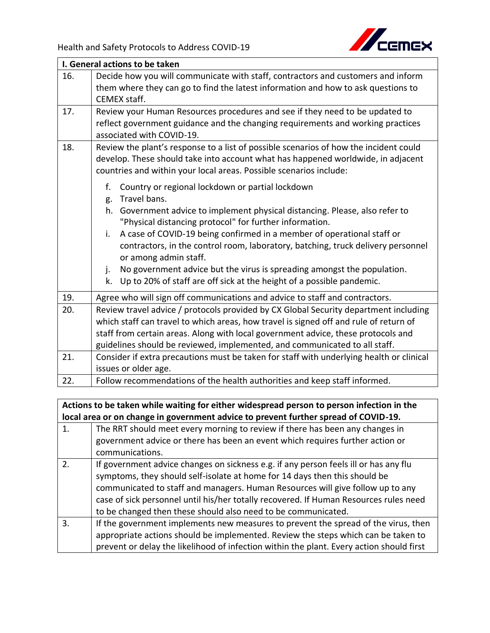

| I. General actions to be taken |                                                                                          |
|--------------------------------|------------------------------------------------------------------------------------------|
| 16.                            | Decide how you will communicate with staff, contractors and customers and inform         |
|                                | them where they can go to find the latest information and how to ask questions to        |
|                                | <b>CEMEX staff.</b>                                                                      |
| 17.                            | Review your Human Resources procedures and see if they need to be updated to             |
|                                | reflect government guidance and the changing requirements and working practices          |
|                                | associated with COVID-19.                                                                |
| 18.                            | Review the plant's response to a list of possible scenarios of how the incident could    |
|                                | develop. These should take into account what has happened worldwide, in adjacent         |
|                                | countries and within your local areas. Possible scenarios include:                       |
|                                | f.<br>Country or regional lockdown or partial lockdown                                   |
|                                | Travel bans.<br>g.                                                                       |
|                                | Government advice to implement physical distancing. Please, also refer to<br>h.          |
|                                | "Physical distancing protocol" for further information.                                  |
|                                | A case of COVID-19 being confirmed in a member of operational staff or<br>i.             |
|                                | contractors, in the control room, laboratory, batching, truck delivery personnel         |
|                                | or among admin staff.                                                                    |
|                                | No government advice but the virus is spreading amongst the population.<br>j.            |
|                                | Up to 20% of staff are off sick at the height of a possible pandemic.<br>k.              |
| 19.                            | Agree who will sign off communications and advice to staff and contractors.              |
| 20.                            | Review travel advice / protocols provided by CX Global Security department including     |
|                                | which staff can travel to which areas, how travel is signed off and rule of return of    |
|                                | staff from certain areas. Along with local government advice, these protocols and        |
|                                | guidelines should be reviewed, implemented, and communicated to all staff.               |
| 21.                            | Consider if extra precautions must be taken for staff with underlying health or clinical |
|                                | issues or older age.                                                                     |
| 22.                            | Follow recommendations of the health authorities and keep staff informed.                |

**Actions to be taken while waiting for either widespread person to person infection in the local area or on change in government advice to prevent further spread of COVID-19.**

| <u>an ananga ni gasan miang aasiaa sa kiassang iarang akiawa at aa sir</u> |                                                                                          |
|----------------------------------------------------------------------------|------------------------------------------------------------------------------------------|
| 1.                                                                         | The RRT should meet every morning to review if there has been any changes in             |
|                                                                            | government advice or there has been an event which requires further action or            |
|                                                                            | communications.                                                                          |
| 2.                                                                         | If government advice changes on sickness e.g. if any person feels ill or has any flu     |
|                                                                            | symptoms, they should self-isolate at home for 14 days then this should be               |
|                                                                            | communicated to staff and managers. Human Resources will give follow up to any           |
|                                                                            | case of sick personnel until his/her totally recovered. If Human Resources rules need    |
|                                                                            | to be changed then these should also need to be communicated.                            |
| 3.                                                                         | If the government implements new measures to prevent the spread of the virus, then       |
|                                                                            | appropriate actions should be implemented. Review the steps which can be taken to        |
|                                                                            | prevent or delay the likelihood of infection within the plant. Every action should first |